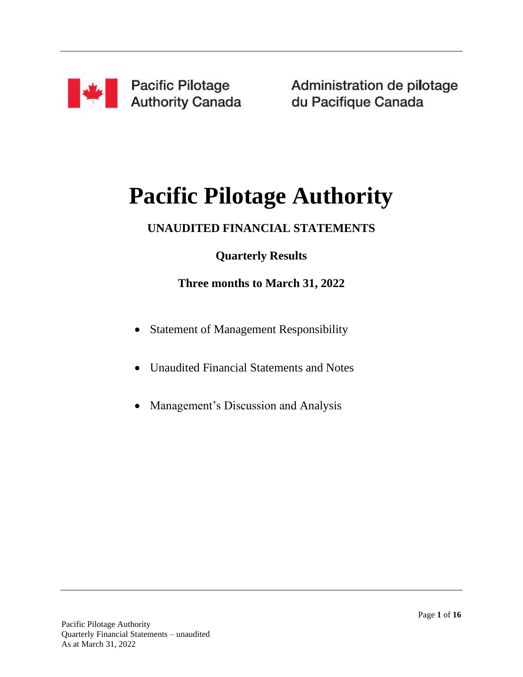

Administration de pilotage du Pacifique Canada

# **Pacific Pilotage Authority**

### **UNAUDITED FINANCIAL STATEMENTS**

### **Quarterly Results**

### **Three months to March 31, 2022**

- Statement of Management Responsibility
- Unaudited Financial Statements and Notes
- Management's Discussion and Analysis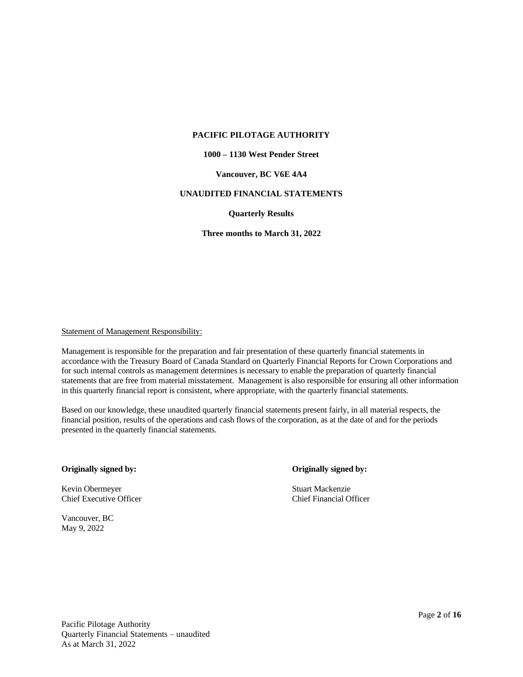#### **1000 – 1130 West Pender Street**

#### **Vancouver, BC V6E 4A4**

#### **UNAUDITED FINANCIAL STATEMENTS**

#### **Quarterly Results**

**Three months to March 31, 2022**

#### Statement of Management Responsibility:

Management is responsible for the preparation and fair presentation of these quarterly financial statements in accordance with the Treasury Board of Canada Standard on Quarterly Financial Reports for Crown Corporations and for such internal controls as management determines is necessary to enable the preparation of quarterly financial statements that are free from material misstatement. Management is also responsible for ensuring all other information in this quarterly financial report is consistent, where appropriate, with the quarterly financial statements.

Based on our knowledge, these unaudited quarterly financial statements present fairly, in all material respects, the financial position, results of the operations and cash flows of the corporation, as at the date of and for the periods presented in the quarterly financial statements.

#### **Originally signed by: Originally signed by:**

Kevin Obermeyer Stuart Mackenzie Chief Executive Officer Chief Financial Officer

Vancouver, BC May 9, 2022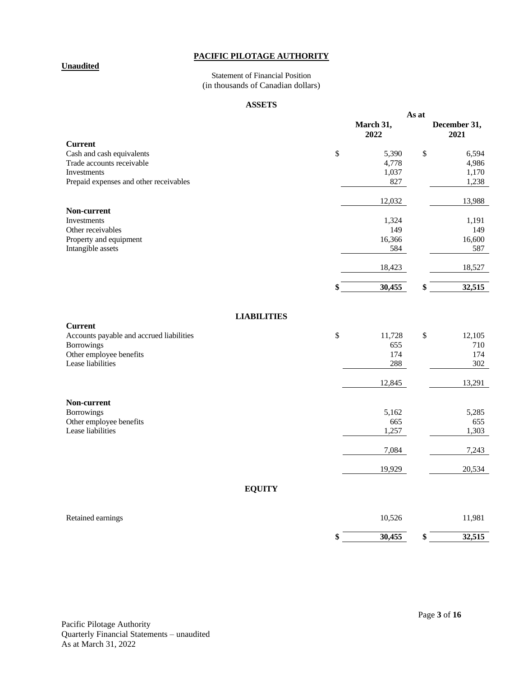#### **Unaudited**

#### Statement of Financial Position (in thousands of Canadian dollars)

#### **ASSETS**

|                                                        | As at             |    |                      |
|--------------------------------------------------------|-------------------|----|----------------------|
|                                                        | March 31,<br>2022 |    | December 31,<br>2021 |
| <b>Current</b>                                         |                   |    |                      |
| Cash and cash equivalents<br>Trade accounts receivable | \$<br>5,390       | \$ | 6,594<br>4,986       |
| <b>Investments</b>                                     | 4,778<br>1,037    |    | 1,170                |
| Prepaid expenses and other receivables                 | 827               |    | 1,238                |
|                                                        |                   |    |                      |
|                                                        | 12,032            |    | 13,988               |
| Non-current<br><b>Investments</b>                      | 1,324             |    | 1,191                |
| Other receivables                                      | 149               |    | 149                  |
| Property and equipment                                 | 16,366            |    | 16,600               |
| Intangible assets                                      | 584               |    | 587                  |
|                                                        | 18,423            |    | 18,527               |
|                                                        | \$<br>30,455      | \$ | 32,515               |
|                                                        |                   |    |                      |
| <b>LIABILITIES</b><br><b>Current</b>                   |                   |    |                      |
| Accounts payable and accrued liabilities               | \$<br>11,728      | \$ | 12,105               |
| <b>Borrowings</b>                                      | 655               |    | 710                  |
| Other employee benefits                                | 174               |    | 174                  |
| Lease liabilities                                      | 288               |    | 302                  |
|                                                        | 12,845            |    | 13,291               |
| Non-current                                            |                   |    |                      |
| <b>Borrowings</b>                                      | 5,162             |    | 5,285                |
| Other employee benefits                                | 665               |    | 655                  |
| Lease liabilities                                      | 1,257             |    | 1,303                |
|                                                        | 7,084             |    | 7,243                |
|                                                        | 19,929            |    | 20,534               |
| <b>EQUITY</b>                                          |                   |    |                      |
| Retained earnings                                      | 10,526            |    | 11,981               |

| ined earnings |    | 10,526 |    | 11,981 |
|---------------|----|--------|----|--------|
|               | ۱П | 30,455 | мΣ | 32,515 |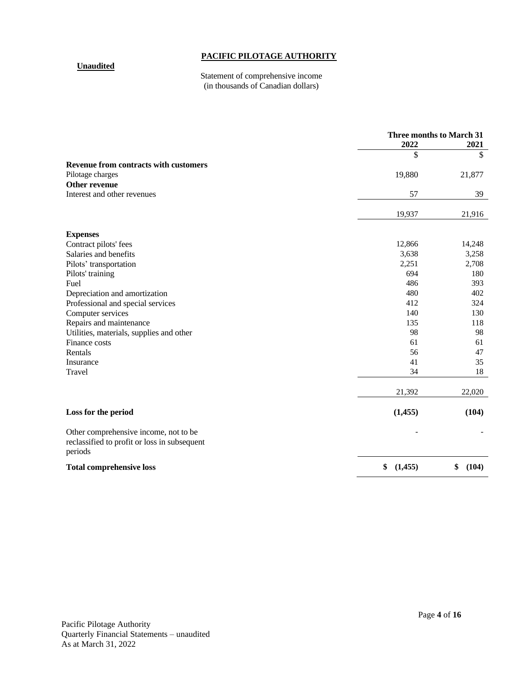#### **Unaudited**

#### Statement of comprehensive income (in thousands of Canadian dollars)

|                                                                                                  | 2022          | Three months to March 31<br>2021 |
|--------------------------------------------------------------------------------------------------|---------------|----------------------------------|
|                                                                                                  | \$            | \$                               |
| <b>Revenue from contracts with customers</b>                                                     |               |                                  |
| Pilotage charges                                                                                 | 19,880        | 21,877                           |
| Other revenue                                                                                    |               |                                  |
| Interest and other revenues                                                                      | 57            | 39                               |
|                                                                                                  | 19,937        | 21,916                           |
| <b>Expenses</b>                                                                                  |               |                                  |
| Contract pilots' fees                                                                            | 12,866        | 14,248                           |
| Salaries and benefits                                                                            | 3,638         | 3,258                            |
| Pilots' transportation                                                                           | 2,251         | 2,708                            |
| Pilots' training                                                                                 | 694           | 180                              |
| Fuel                                                                                             | 486           | 393                              |
| Depreciation and amortization                                                                    | 480           | 402                              |
| Professional and special services                                                                | 412           | 324                              |
| Computer services                                                                                | 140           | 130                              |
| Repairs and maintenance                                                                          | 135           | 118                              |
| Utilities, materials, supplies and other                                                         | 98            | 98                               |
| Finance costs                                                                                    | 61            | 61                               |
| Rentals                                                                                          | 56            | 47                               |
| Insurance                                                                                        | 41            | 35                               |
| Travel                                                                                           | 34            | 18                               |
|                                                                                                  | 21,392        | 22,020                           |
| Loss for the period                                                                              | (1, 455)      | (104)                            |
| Other comprehensive income, not to be<br>reclassified to profit or loss in subsequent<br>periods |               |                                  |
| <b>Total comprehensive loss</b>                                                                  | \$<br>(1,455) | \$<br>(104)                      |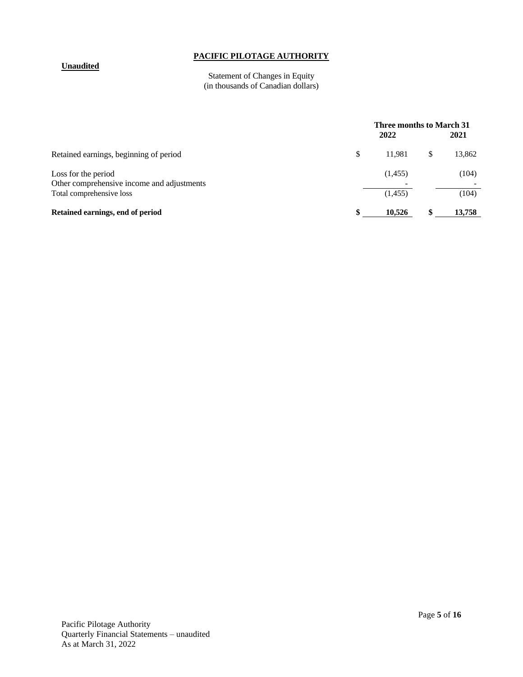#### **Unaudited**

#### Statement of Changes in Equity (in thousands of Canadian dollars)

|                                                                                               | 2022               | Three months to March 31<br>2021 |                |  |
|-----------------------------------------------------------------------------------------------|--------------------|----------------------------------|----------------|--|
| Retained earnings, beginning of period                                                        | \$<br>11.981       | \$                               | 13,862         |  |
| Loss for the period<br>Other comprehensive income and adjustments<br>Total comprehensive loss | (1,455)<br>(1,455) |                                  | (104)<br>(104) |  |
| Retained earnings, end of period                                                              | 10,526             | S                                | 13,758         |  |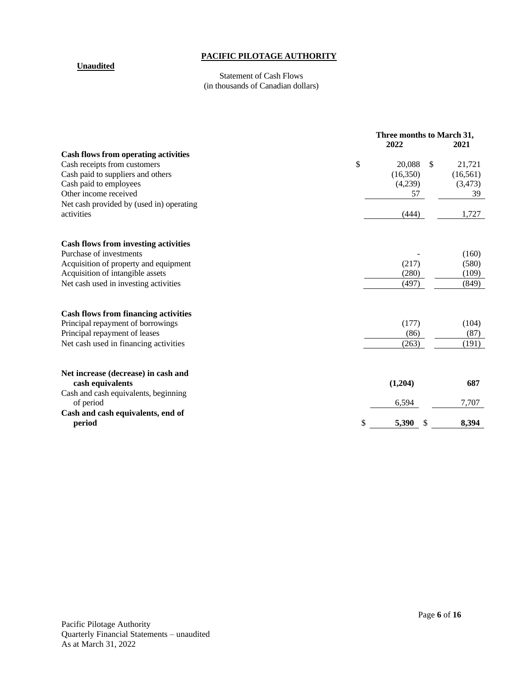#### **Unaudited**

#### Statement of Cash Flows (in thousands of Canadian dollars)

| <b>Cash flows from operating activities</b><br>\$<br>Cash receipts from customers<br>\$<br>20,088<br>Cash paid to suppliers and others<br>(16,350)<br>Cash paid to employees<br>(4,239)<br>Other income received<br>57<br>Net cash provided by (used in) operating<br>activities<br>(444)<br><b>Cash flows from investing activities</b><br>Purchase of investments<br>(217)<br>Acquisition of property and equipment<br>Acquisition of intangible assets<br>(280)<br>Net cash used in investing activities<br>(497)<br><b>Cash flows from financing activities</b><br>Principal repayment of borrowings<br>(177)<br>Principal repayment of leases<br>(86)<br>Net cash used in financing activities<br>(263)<br>Net increase (decrease) in cash and<br>cash equivalents<br>(1,204)<br>Cash and cash equivalents, beginning |           | Three months to March 31,<br>2022<br>2021 |  |           |
|----------------------------------------------------------------------------------------------------------------------------------------------------------------------------------------------------------------------------------------------------------------------------------------------------------------------------------------------------------------------------------------------------------------------------------------------------------------------------------------------------------------------------------------------------------------------------------------------------------------------------------------------------------------------------------------------------------------------------------------------------------------------------------------------------------------------------|-----------|-------------------------------------------|--|-----------|
|                                                                                                                                                                                                                                                                                                                                                                                                                                                                                                                                                                                                                                                                                                                                                                                                                            |           |                                           |  |           |
|                                                                                                                                                                                                                                                                                                                                                                                                                                                                                                                                                                                                                                                                                                                                                                                                                            |           |                                           |  | 21,721    |
|                                                                                                                                                                                                                                                                                                                                                                                                                                                                                                                                                                                                                                                                                                                                                                                                                            |           |                                           |  | (16, 561) |
|                                                                                                                                                                                                                                                                                                                                                                                                                                                                                                                                                                                                                                                                                                                                                                                                                            |           |                                           |  | (3, 473)  |
|                                                                                                                                                                                                                                                                                                                                                                                                                                                                                                                                                                                                                                                                                                                                                                                                                            |           |                                           |  | 39        |
|                                                                                                                                                                                                                                                                                                                                                                                                                                                                                                                                                                                                                                                                                                                                                                                                                            |           |                                           |  |           |
|                                                                                                                                                                                                                                                                                                                                                                                                                                                                                                                                                                                                                                                                                                                                                                                                                            |           |                                           |  | 1,727     |
|                                                                                                                                                                                                                                                                                                                                                                                                                                                                                                                                                                                                                                                                                                                                                                                                                            |           |                                           |  |           |
|                                                                                                                                                                                                                                                                                                                                                                                                                                                                                                                                                                                                                                                                                                                                                                                                                            |           |                                           |  |           |
|                                                                                                                                                                                                                                                                                                                                                                                                                                                                                                                                                                                                                                                                                                                                                                                                                            |           |                                           |  | (160)     |
|                                                                                                                                                                                                                                                                                                                                                                                                                                                                                                                                                                                                                                                                                                                                                                                                                            |           |                                           |  | (580)     |
|                                                                                                                                                                                                                                                                                                                                                                                                                                                                                                                                                                                                                                                                                                                                                                                                                            |           |                                           |  | (109)     |
|                                                                                                                                                                                                                                                                                                                                                                                                                                                                                                                                                                                                                                                                                                                                                                                                                            |           |                                           |  | (849)     |
|                                                                                                                                                                                                                                                                                                                                                                                                                                                                                                                                                                                                                                                                                                                                                                                                                            |           |                                           |  |           |
|                                                                                                                                                                                                                                                                                                                                                                                                                                                                                                                                                                                                                                                                                                                                                                                                                            |           |                                           |  | (104)     |
|                                                                                                                                                                                                                                                                                                                                                                                                                                                                                                                                                                                                                                                                                                                                                                                                                            |           |                                           |  | (87)      |
|                                                                                                                                                                                                                                                                                                                                                                                                                                                                                                                                                                                                                                                                                                                                                                                                                            |           |                                           |  | (191)     |
|                                                                                                                                                                                                                                                                                                                                                                                                                                                                                                                                                                                                                                                                                                                                                                                                                            |           |                                           |  |           |
|                                                                                                                                                                                                                                                                                                                                                                                                                                                                                                                                                                                                                                                                                                                                                                                                                            |           |                                           |  | 687       |
|                                                                                                                                                                                                                                                                                                                                                                                                                                                                                                                                                                                                                                                                                                                                                                                                                            |           |                                           |  |           |
|                                                                                                                                                                                                                                                                                                                                                                                                                                                                                                                                                                                                                                                                                                                                                                                                                            | of period | 6,594                                     |  | 7,707     |
| Cash and cash equivalents, end of                                                                                                                                                                                                                                                                                                                                                                                                                                                                                                                                                                                                                                                                                                                                                                                          |           |                                           |  |           |
| \$<br>period<br>5,390                                                                                                                                                                                                                                                                                                                                                                                                                                                                                                                                                                                                                                                                                                                                                                                                      |           |                                           |  | 8,394     |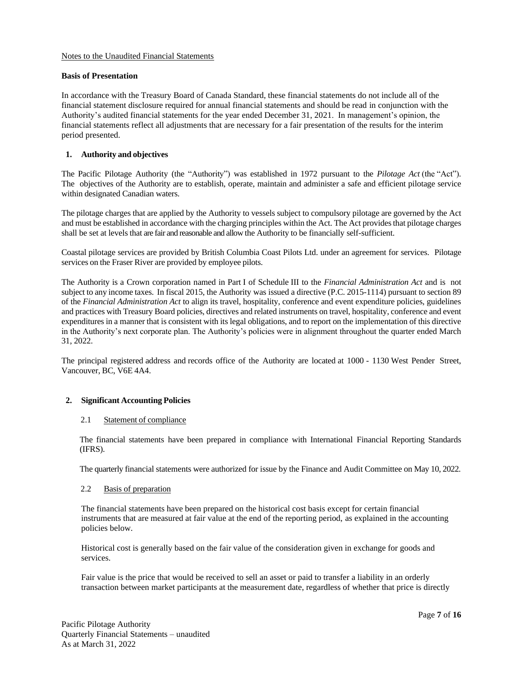#### Notes to the Unaudited Financial Statements

#### **Basis of Presentation**

In accordance with the Treasury Board of Canada Standard, these financial statements do not include all of the financial statement disclosure required for annual financial statements and should be read in conjunction with the Authority's audited financial statements for the year ended December 31, 2021. In management's opinion, the financial statements reflect all adjustments that are necessary for a fair presentation of the results for the interim period presented.

#### **1. Authority and objectives**

The Pacific Pilotage Authority (the "Authority") was established in 1972 pursuant to the *Pilotage Act* (the "Act"). The objectives of the Authority are to establish, operate, maintain and administer a safe and efficient pilotage service within designated Canadian waters.

The pilotage charges that are applied by the Authority to vessels subject to compulsory pilotage are governed by the Act and must be established in accordance with the charging principles within the Act. The Act provides that pilotage charges shall be set at levels that are fair and reasonable and allow the Authority to be financially self-sufficient.

Coastal pilotage services are provided by British Columbia Coast Pilots Ltd. under an agreement for services. Pilotage services on the Fraser River are provided by employee pilots.

The Authority is a Crown corporation named in Part I of Schedule III to the *Financial Administration Act* and is not subject to any income taxes. In fiscal 2015, the Authority was issued a directive (P.C. 2015-1114) pursuant to section 89 of the *Financial Administration Act* to align its travel, hospitality, conference and event expenditure policies, guidelines and practices with Treasury Board policies, directives and related instruments on travel, hospitality, conference and event expenditures in a manner that is consistent with its legal obligations, and to report on the implementation of this directive in the Authority's next corporate plan. The Authority's policies were in alignment throughout the quarter ended March 31, 2022.

The principal registered address and records office of the Authority are located at 1000 - 1130 West Pender Street, Vancouver, BC, V6E 4A4.

#### **2. Significant Accounting Policies**

#### 2.1 Statement of compliance

The financial statements have been prepared in compliance with International Financial Reporting Standards (IFRS).

The quarterly financial statements were authorized for issue by the Finance and Audit Committee on May 10, 2022.

#### 2.2 Basis of preparation

The financial statements have been prepared on the historical cost basis except for certain financial instruments that are measured at fair value at the end of the reporting period, as explained in the accounting policies below.

Historical cost is generally based on the fair value of the consideration given in exchange for goods and services.

Fair value is the price that would be received to sell an asset or paid to transfer a liability in an orderly transaction between market participants at the measurement date, regardless of whether that price is directly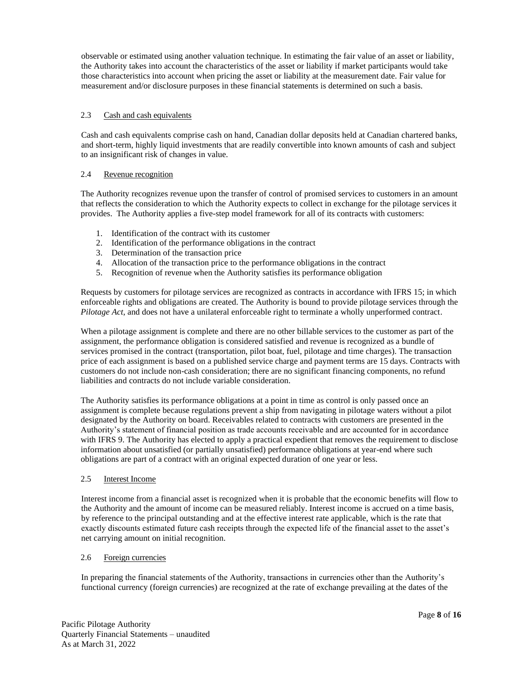observable or estimated using another valuation technique. In estimating the fair value of an asset or liability, the Authority takes into account the characteristics of the asset or liability if market participants would take those characteristics into account when pricing the asset or liability at the measurement date. Fair value for measurement and/or disclosure purposes in these financial statements is determined on such a basis.

#### 2.3 Cash and cash equivalents

Cash and cash equivalents comprise cash on hand, Canadian dollar deposits held at Canadian chartered banks, and short-term, highly liquid investments that are readily convertible into known amounts of cash and subject to an insignificant risk of changes in value.

#### 2.4 Revenue recognition

The Authority recognizes revenue upon the transfer of control of promised services to customers in an amount that reflects the consideration to which the Authority expects to collect in exchange for the pilotage services it provides. The Authority applies a five-step model framework for all of its contracts with customers:

- 1. Identification of the contract with its customer
- 2. Identification of the performance obligations in the contract
- 3. Determination of the transaction price
- 4. Allocation of the transaction price to the performance obligations in the contract
- 5. Recognition of revenue when the Authority satisfies its performance obligation

Requests by customers for pilotage services are recognized as contracts in accordance with IFRS 15; in which enforceable rights and obligations are created. The Authority is bound to provide pilotage services through the *Pilotage Act*, and does not have a unilateral enforceable right to terminate a wholly unperformed contract.

When a pilotage assignment is complete and there are no other billable services to the customer as part of the assignment, the performance obligation is considered satisfied and revenue is recognized as a bundle of services promised in the contract (transportation, pilot boat, fuel, pilotage and time charges). The transaction price of each assignment is based on a published service charge and payment terms are 15 days. Contracts with customers do not include non-cash consideration; there are no significant financing components, no refund liabilities and contracts do not include variable consideration.

The Authority satisfies its performance obligations at a point in time as control is only passed once an assignment is complete because regulations prevent a ship from navigating in pilotage waters without a pilot designated by the Authority on board. Receivables related to contracts with customers are presented in the Authority's statement of financial position as trade accounts receivable and are accounted for in accordance with IFRS 9. The Authority has elected to apply a practical expedient that removes the requirement to disclose information about unsatisfied (or partially unsatisfied) performance obligations at year-end where such obligations are part of a contract with an original expected duration of one year or less.

#### 2.5 Interest Income

Interest income from a financial asset is recognized when it is probable that the economic benefits will flow to the Authority and the amount of income can be measured reliably. Interest income is accrued on a time basis, by reference to the principal outstanding and at the effective interest rate applicable, which is the rate that exactly discounts estimated future cash receipts through the expected life of the financial asset to the asset's net carrying amount on initial recognition.

#### 2.6 Foreign currencies

In preparing the financial statements of the Authority, transactions in currencies other than the Authority's functional currency (foreign currencies) are recognized at the rate of exchange prevailing at the dates of the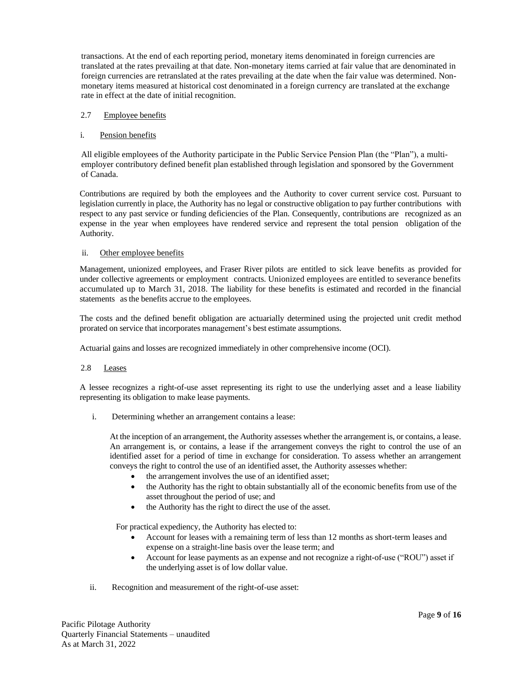transactions. At the end of each reporting period, monetary items denominated in foreign currencies are translated at the rates prevailing at that date. Non-monetary items carried at fair value that are denominated in foreign currencies are retranslated at the rates prevailing at the date when the fair value was determined. Nonmonetary items measured at historical cost denominated in a foreign currency are translated at the exchange rate in effect at the date of initial recognition.

#### 2.7 Employee benefits

#### i. Pension benefits

All eligible employees of the Authority participate in the Public Service Pension Plan (the "Plan"), a multiemployer contributory defined benefit plan established through legislation and sponsored by the Government of Canada.

Contributions are required by both the employees and the Authority to cover current service cost. Pursuant to legislation currently in place, the Authority has no legal or constructive obligation to pay further contributions with respect to any past service or funding deficiencies of the Plan. Consequently, contributions are recognized as an expense in the year when employees have rendered service and represent the total pension obligation of the Authority.

#### ii. Other employee benefits

Management, unionized employees, and Fraser River pilots are entitled to sick leave benefits as provided for under collective agreements or employment contracts. Unionized employees are entitled to severance benefits accumulated up to March 31, 2018. The liability for these benefits is estimated and recorded in the financial statements as the benefits accrue to the employees.

The costs and the defined benefit obligation are actuarially determined using the projected unit credit method prorated on service that incorporates management's best estimate assumptions.

Actuarial gains and losses are recognized immediately in other comprehensive income (OCI).

#### 2.8 Leases

A lessee recognizes a right-of-use asset representing its right to use the underlying asset and a lease liability representing its obligation to make lease payments.

i. Determining whether an arrangement contains a lease:

At the inception of an arrangement, the Authority assesses whether the arrangement is, or contains, a lease. An arrangement is, or contains, a lease if the arrangement conveys the right to control the use of an identified asset for a period of time in exchange for consideration. To assess whether an arrangement conveys the right to control the use of an identified asset, the Authority assesses whether:

- the arrangement involves the use of an identified asset;
- the Authority has the right to obtain substantially all of the economic benefits from use of the asset throughout the period of use; and
- the Authority has the right to direct the use of the asset.

For practical expediency, the Authority has elected to:

- Account for leases with a remaining term of less than 12 months as short-term leases and expense on a straight-line basis over the lease term; and
- Account for lease payments as an expense and not recognize a right-of-use ("ROU") asset if the underlying asset is of low dollar value.
- ii. Recognition and measurement of the right-of-use asset: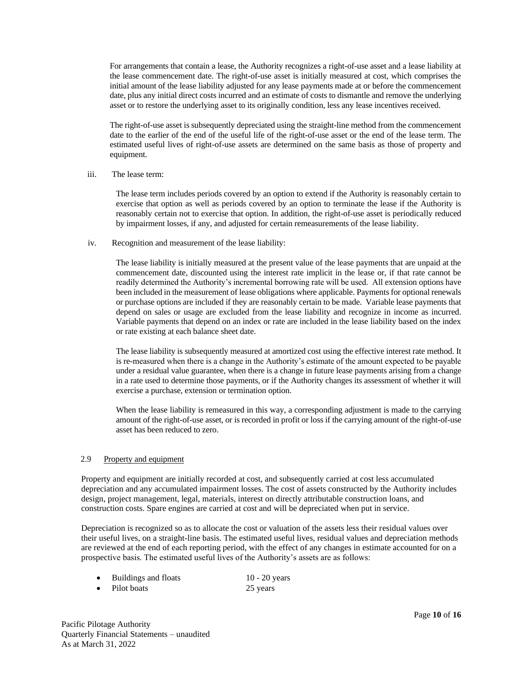For arrangements that contain a lease, the Authority recognizes a right-of-use asset and a lease liability at the lease commencement date. The right-of-use asset is initially measured at cost, which comprises the initial amount of the lease liability adjusted for any lease payments made at or before the commencement date, plus any initial direct costs incurred and an estimate of costs to dismantle and remove the underlying asset or to restore the underlying asset to its originally condition, less any lease incentives received.

The right-of-use asset is subsequently depreciated using the straight-line method from the commencement date to the earlier of the end of the useful life of the right-of-use asset or the end of the lease term. The estimated useful lives of right-of-use assets are determined on the same basis as those of property and equipment.

#### iii. The lease term:

The lease term includes periods covered by an option to extend if the Authority is reasonably certain to exercise that option as well as periods covered by an option to terminate the lease if the Authority is reasonably certain not to exercise that option. In addition, the right-of-use asset is periodically reduced by impairment losses, if any, and adjusted for certain remeasurements of the lease liability.

#### iv. Recognition and measurement of the lease liability:

The lease liability is initially measured at the present value of the lease payments that are unpaid at the commencement date, discounted using the interest rate implicit in the lease or, if that rate cannot be readily determined the Authority's incremental borrowing rate will be used. All extension options have been included in the measurement of lease obligations where applicable. Payments for optional renewals or purchase options are included if they are reasonably certain to be made. Variable lease payments that depend on sales or usage are excluded from the lease liability and recognize in income as incurred. Variable payments that depend on an index or rate are included in the lease liability based on the index or rate existing at each balance sheet date.

The lease liability is subsequently measured at amortized cost using the effective interest rate method. It is re-measured when there is a change in the Authority's estimate of the amount expected to be payable under a residual value guarantee, when there is a change in future lease payments arising from a change in a rate used to determine those payments, or if the Authority changes its assessment of whether it will exercise a purchase, extension or termination option.

When the lease liability is remeasured in this way, a corresponding adjustment is made to the carrying amount of the right-of-use asset, or is recorded in profit or loss if the carrying amount of the right-of-use asset has been reduced to zero.

#### 2.9 Property and equipment

Property and equipment are initially recorded at cost, and subsequently carried at cost less accumulated depreciation and any accumulated impairment losses. The cost of assets constructed by the Authority includes design, project management, legal, materials, interest on directly attributable construction loans, and construction costs. Spare engines are carried at cost and will be depreciated when put in service.

Depreciation is recognized so as to allocate the cost or valuation of the assets less their residual values over their useful lives, on a straight-line basis. The estimated useful lives, residual values and depreciation methods are reviewed at the end of each reporting period, with the effect of any changes in estimate accounted for on a prospective basis. The estimated useful lives of the Authority's assets are as follows:

- Buildings and floats 10 20 years
	- Pilot boats 25 years 25
-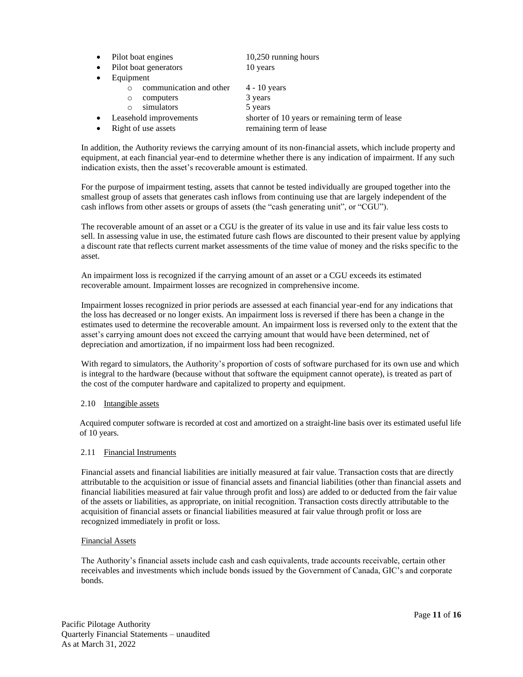- Pilot boat engines 10,250 running hours
- Pilot boat generators 10 years
- **Equipment** 
	- o communication and other 4 10 years
	- o computers 3 years
	- o simulators 5 years
- 
- Leasehold improvements shorter of 10 years or remaining term of lease
- 
- Right of use assets remaining term of lease

In addition, the Authority reviews the carrying amount of its non-financial assets, which include property and equipment, at each financial year-end to determine whether there is any indication of impairment. If any such indication exists, then the asset's recoverable amount is estimated.

For the purpose of impairment testing, assets that cannot be tested individually are grouped together into the smallest group of assets that generates cash inflows from continuing use that are largely independent of the cash inflows from other assets or groups of assets (the "cash generating unit", or "CGU").

The recoverable amount of an asset or a CGU is the greater of its value in use and its fair value less costs to sell. In assessing value in use, the estimated future cash flows are discounted to their present value by applying a discount rate that reflects current market assessments of the time value of money and the risks specific to the asset.

An impairment loss is recognized if the carrying amount of an asset or a CGU exceeds its estimated recoverable amount. Impairment losses are recognized in comprehensive income.

Impairment losses recognized in prior periods are assessed at each financial year-end for any indications that the loss has decreased or no longer exists. An impairment loss is reversed if there has been a change in the estimates used to determine the recoverable amount. An impairment loss is reversed only to the extent that the asset's carrying amount does not exceed the carrying amount that would have been determined, net of depreciation and amortization, if no impairment loss had been recognized.

With regard to simulators, the Authority's proportion of costs of software purchased for its own use and which is integral to the hardware (because without that software the equipment cannot operate), is treated as part of the cost of the computer hardware and capitalized to property and equipment.

#### 2.10 Intangible assets

Acquired computer software is recorded at cost and amortized on a straight-line basis over its estimated useful life of 10 years.

#### 2.11 Financial Instruments

Financial assets and financial liabilities are initially measured at fair value. Transaction costs that are directly attributable to the acquisition or issue of financial assets and financial liabilities (other than financial assets and financial liabilities measured at fair value through profit and loss) are added to or deducted from the fair value of the assets or liabilities, as appropriate, on initial recognition. Transaction costs directly attributable to the acquisition of financial assets or financial liabilities measured at fair value through profit or loss are recognized immediately in profit or loss.

#### Financial Assets

The Authority's financial assets include cash and cash equivalents, trade accounts receivable, certain other receivables and investments which include bonds issued by the Government of Canada, GIC's and corporate bonds.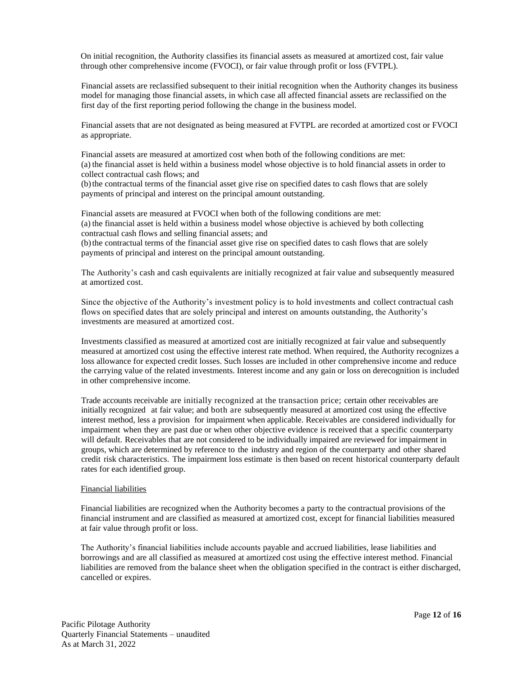On initial recognition, the Authority classifies its financial assets as measured at amortized cost, fair value through other comprehensive income (FVOCI), or fair value through profit or loss (FVTPL).

Financial assets are reclassified subsequent to their initial recognition when the Authority changes its business model for managing those financial assets, in which case all affected financial assets are reclassified on the first day of the first reporting period following the change in the business model.

Financial assets that are not designated as being measured at FVTPL are recorded at amortized cost or FVOCI as appropriate.

Financial assets are measured at amortized cost when both of the following conditions are met: (a) the financial asset is held within a business model whose objective is to hold financial assets in order to collect contractual cash flows; and

(b)the contractual terms of the financial asset give rise on specified dates to cash flows that are solely payments of principal and interest on the principal amount outstanding.

Financial assets are measured at FVOCI when both of the following conditions are met: (a) the financial asset is held within a business model whose objective is achieved by both collecting contractual cash flows and selling financial assets; and

(b)the contractual terms of the financial asset give rise on specified dates to cash flows that are solely payments of principal and interest on the principal amount outstanding.

The Authority's cash and cash equivalents are initially recognized at fair value and subsequently measured at amortized cost.

Since the objective of the Authority's investment policy is to hold investments and collect contractual cash flows on specified dates that are solely principal and interest on amounts outstanding, the Authority's investments are measured at amortized cost.

Investments classified as measured at amortized cost are initially recognized at fair value and subsequently measured at amortized cost using the effective interest rate method. When required, the Authority recognizes a loss allowance for expected credit losses. Such losses are included in other comprehensive income and reduce the carrying value of the related investments. Interest income and any gain or loss on derecognition is included in other comprehensive income.

Trade accounts receivable are initially recognized at the transaction price; certain other receivables are initially recognized at fair value; and both are subsequently measured at amortized cost using the effective interest method, less a provision for impairment when applicable. Receivables are considered individually for impairment when they are past due or when other objective evidence is received that a specific counterparty will default. Receivables that are not considered to be individually impaired are reviewed for impairment in groups, which are determined by reference to the industry and region of the counterparty and other shared credit risk characteristics. The impairment loss estimate is then based on recent historical counterparty default rates for each identified group.

#### Financial liabilities

Financial liabilities are recognized when the Authority becomes a party to the contractual provisions of the financial instrument and are classified as measured at amortized cost, except for financial liabilities measured at fair value through profit or loss.

The Authority's financial liabilities include accounts payable and accrued liabilities, lease liabilities and borrowings and are all classified as measured at amortized cost using the effective interest method. Financial liabilities are removed from the balance sheet when the obligation specified in the contract is either discharged, cancelled or expires.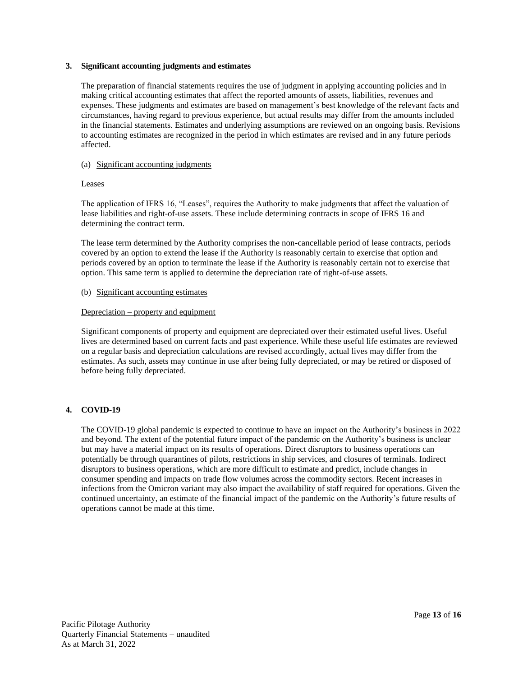#### **3. Significant accounting judgments and estimates**

The preparation of financial statements requires the use of judgment in applying accounting policies and in making critical accounting estimates that affect the reported amounts of assets, liabilities, revenues and expenses. These judgments and estimates are based on management's best knowledge of the relevant facts and circumstances, having regard to previous experience, but actual results may differ from the amounts included in the financial statements. Estimates and underlying assumptions are reviewed on an ongoing basis. Revisions to accounting estimates are recognized in the period in which estimates are revised and in any future periods affected.

#### (a) Significant accounting judgments

#### Leases

The application of IFRS 16, "Leases", requires the Authority to make judgments that affect the valuation of lease liabilities and right-of-use assets. These include determining contracts in scope of IFRS 16 and determining the contract term.

The lease term determined by the Authority comprises the non-cancellable period of lease contracts, periods covered by an option to extend the lease if the Authority is reasonably certain to exercise that option and periods covered by an option to terminate the lease if the Authority is reasonably certain not to exercise that option. This same term is applied to determine the depreciation rate of right-of-use assets.

#### (b) Significant accounting estimates

#### Depreciation – property and equipment

Significant components of property and equipment are depreciated over their estimated useful lives. Useful lives are determined based on current facts and past experience. While these useful life estimates are reviewed on a regular basis and depreciation calculations are revised accordingly, actual lives may differ from the estimates. As such, assets may continue in use after being fully depreciated, or may be retired or disposed of before being fully depreciated.

#### **4. COVID-19**

The COVID-19 global pandemic is expected to continue to have an impact on the Authority's business in 2022 and beyond. The extent of the potential future impact of the pandemic on the Authority's business is unclear but may have a material impact on its results of operations. Direct disruptors to business operations can potentially be through quarantines of pilots, restrictions in ship services, and closures of terminals. Indirect disruptors to business operations, which are more difficult to estimate and predict, include changes in consumer spending and impacts on trade flow volumes across the commodity sectors. Recent increases in infections from the Omicron variant may also impact the availability of staff required for operations. Given the continued uncertainty, an estimate of the financial impact of the pandemic on the Authority's future results of operations cannot be made at this time.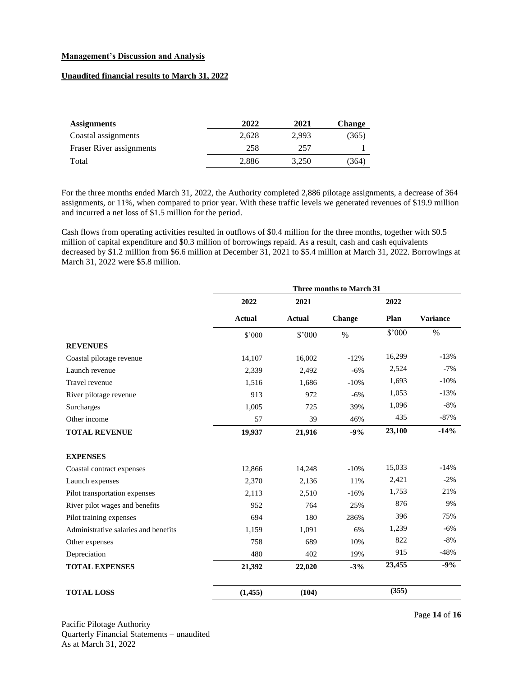#### **Management's Discussion and Analysis**

#### **Unaudited financial results to March 31, 2022**

| <b>Assignments</b>       | 2022  | 2021  | <b>Change</b> |
|--------------------------|-------|-------|---------------|
| Coastal assignments      | 2.628 | 2.993 | (365)         |
| Fraser River assignments | 258   | 257   |               |
| Total                    | 2,886 | 3.250 | (364)         |

For the three months ended March 31, 2022, the Authority completed 2,886 pilotage assignments, a decrease of 364 assignments, or 11%, when compared to prior year. With these traffic levels we generated revenues of \$19.9 million and incurred a net loss of \$1.5 million for the period.

Cash flows from operating activities resulted in outflows of \$0.4 million for the three months, together with \$0.5 million of capital expenditure and \$0.3 million of borrowings repaid. As a result, cash and cash equivalents decreased by \$1.2 million from \$6.6 million at December 31, 2021 to \$5.4 million at March 31, 2022. Borrowings at March 31, 2022 were \$5.8 million.

|                                      |               |               | <b>Three months to March 31</b> |        |                 |
|--------------------------------------|---------------|---------------|---------------------------------|--------|-----------------|
|                                      | 2022          | 2021          |                                 | 2022   |                 |
|                                      | <b>Actual</b> | <b>Actual</b> | Change                          | Plan   | <b>Variance</b> |
|                                      | \$'000        | \$'000        | $\%$                            | \$'000 | $\%$            |
| <b>REVENUES</b>                      |               |               |                                 |        |                 |
| Coastal pilotage revenue             | 14,107        | 16,002        | $-12%$                          | 16,299 | $-13%$          |
| Launch revenue                       | 2,339         | 2,492         | $-6%$                           | 2,524  | $-7%$           |
| Travel revenue                       | 1,516         | 1,686         | $-10%$                          | 1,693  | $-10%$          |
| River pilotage revenue               | 913           | 972           | $-6%$                           | 1,053  | $-13%$          |
| Surcharges                           | 1,005         | 725           | 39%                             | 1,096  | $-8%$           |
| Other income                         | 57            | 39            | 46%                             | 435    | $-87\%$         |
| <b>TOTAL REVENUE</b>                 | 19,937        | 21,916        | $-9%$                           | 23,100 | $-14%$          |
| <b>EXPENSES</b>                      |               |               |                                 |        |                 |
| Coastal contract expenses            | 12,866        | 14,248        | $-10%$                          | 15,033 | $-14%$          |
| Launch expenses                      | 2,370         | 2,136         | 11%                             | 2,421  | $-2\%$          |
| Pilot transportation expenses        | 2,113         | 2,510         | $-16%$                          | 1,753  | 21%             |
| River pilot wages and benefits       | 952           | 764           | 25%                             | 876    | 9%              |
| Pilot training expenses              | 694           | 180           | 286%                            | 396    | 75%             |
| Administrative salaries and benefits | 1,159         | 1,091         | 6%                              | 1,239  | $-6\%$          |
| Other expenses                       | 758           | 689           | 10%                             | 822    | $-8%$           |
| Depreciation                         | 480           | 402           | 19%                             | 915    | $-48%$          |
| <b>TOTAL EXPENSES</b>                | 21,392        | 22,020        | $-3%$                           | 23,455 | $-9%$           |
| <b>TOTAL LOSS</b>                    | (1, 455)      | (104)         |                                 | (355)  |                 |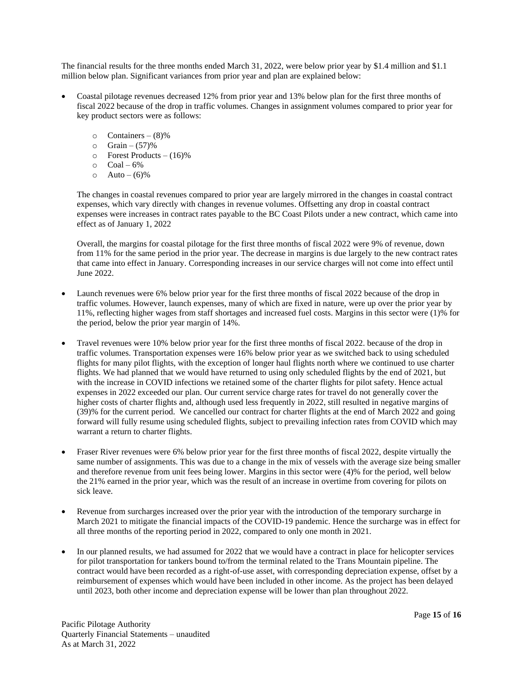The financial results for the three months ended March 31, 2022, were below prior year by \$1.4 million and \$1.1 million below plan. Significant variances from prior year and plan are explained below:

- Coastal pilotage revenues decreased 12% from prior year and 13% below plan for the first three months of fiscal 2022 because of the drop in traffic volumes. Changes in assignment volumes compared to prior year for key product sectors were as follows:
	- $\circ$  Containers (8)%
	- $\circ$  Grain (57)%
	- $\circ$  Forest Products (16)%
	- $\circ$  Coal 6%
	- $\circ$  Auto (6)%

The changes in coastal revenues compared to prior year are largely mirrored in the changes in coastal contract expenses, which vary directly with changes in revenue volumes. Offsetting any drop in coastal contract expenses were increases in contract rates payable to the BC Coast Pilots under a new contract, which came into effect as of January 1, 2022

Overall, the margins for coastal pilotage for the first three months of fiscal 2022 were 9% of revenue, down from 11% for the same period in the prior year. The decrease in margins is due largely to the new contract rates that came into effect in January. Corresponding increases in our service charges will not come into effect until June 2022.

- Launch revenues were 6% below prior year for the first three months of fiscal 2022 because of the drop in traffic volumes. However, launch expenses, many of which are fixed in nature, were up over the prior year by 11%, reflecting higher wages from staff shortages and increased fuel costs. Margins in this sector were (1)% for the period, below the prior year margin of 14%.
- Travel revenues were 10% below prior year for the first three months of fiscal 2022. because of the drop in traffic volumes. Transportation expenses were 16% below prior year as we switched back to using scheduled flights for many pilot flights, with the exception of longer haul flights north where we continued to use charter flights. We had planned that we would have returned to using only scheduled flights by the end of 2021, but with the increase in COVID infections we retained some of the charter flights for pilot safety. Hence actual expenses in 2022 exceeded our plan. Our current service charge rates for travel do not generally cover the higher costs of charter flights and, although used less frequently in 2022, still resulted in negative margins of (39)% for the current period. We cancelled our contract for charter flights at the end of March 2022 and going forward will fully resume using scheduled flights, subject to prevailing infection rates from COVID which may warrant a return to charter flights.
- Fraser River revenues were 6% below prior year for the first three months of fiscal 2022, despite virtually the same number of assignments. This was due to a change in the mix of vessels with the average size being smaller and therefore revenue from unit fees being lower. Margins in this sector were (4)% for the period, well below the 21% earned in the prior year, which was the result of an increase in overtime from covering for pilots on sick leave.
- Revenue from surcharges increased over the prior year with the introduction of the temporary surcharge in March 2021 to mitigate the financial impacts of the COVID-19 pandemic. Hence the surcharge was in effect for all three months of the reporting period in 2022, compared to only one month in 2021.
- In our planned results, we had assumed for 2022 that we would have a contract in place for helicopter services for pilot transportation for tankers bound to/from the terminal related to the Trans Mountain pipeline. The contract would have been recorded as a right-of-use asset, with corresponding depreciation expense, offset by a reimbursement of expenses which would have been included in other income. As the project has been delayed until 2023, both other income and depreciation expense will be lower than plan throughout 2022.